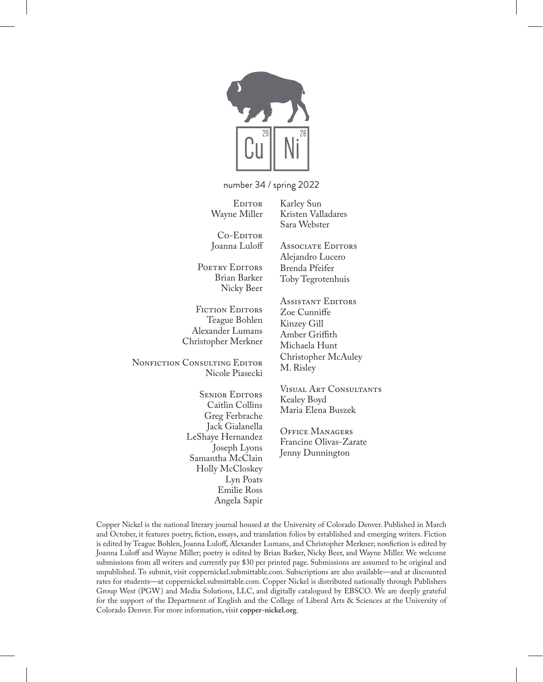

number 34 / spring 2022

**EDITOR** Wayne Miller Karley Sun Kristen Valladares Sara Webster

Associate Editors Alejandro Lucero Brenda Pfeifer Toby Tegrotenhuis

Co-Editor Joanna Luloff

POETRY EDITORS Brian Barker Nicky Beer

FICTION EDITORS Teague Bohlen Alexander Lumans Christopher Merkner

NONFICTION CONSULTING EDITOR Nicole Piasecki

> **SENIOR EDITORS** Caitlin Collins Greg Ferbrache Jack Gialanella LeShaye Hernandez Joseph Lyons Samantha McClain Holly McCloskey Lyn Poats Emilie Ross Angela Sapir

Assistant Editors Zoe Cunniffe Kinzey Gill Amber Griffith Michaela Hunt Christopher McAuley M. Risley

Visual Art Consultants Kealey Boyd Maria Elena Buszek

Office Managers Francine Olivas-Zarate Jenny Dunnington

Copper Nickel is the national literary journal housed at the University of Colorado Denver. Published in March and October, it features poetry, fiction, essays, and translation folios by established and emerging writers. Fiction is edited by Teague Bohlen, Joanna Luloff, Alexander Lumans, and Christopher Merkner; nonfiction is edited by Joanna Luloff and Wayne Miller; poetry is edited by Brian Barker, Nicky Beer, and Wayne Miller. We welcome submissions from all writers and currently pay \$30 per printed page. Submissions are assumed to be original and unpublished. To submit, visit coppernickel.submittable.com. Subscriptions are also available—and at discounted rates for students—at coppernickel.submittable.com. Copper Nickel is distributed nationally through Publishers Group West (PGW) and Media Solutions, LLC, and digitally catalogued by EBSCO. We are deeply grateful for the support of the Department of English and the College of Liberal Arts & Sciences at the University of Colorado Denver. For more information, visit **copper-nickel.org**.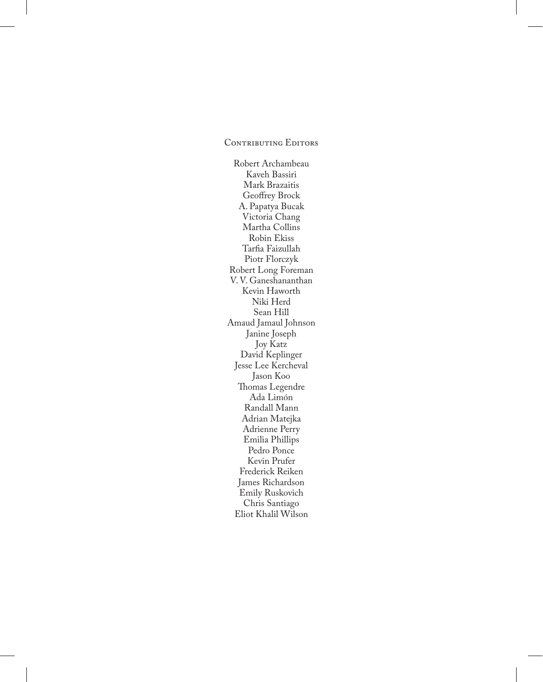#### CONTRIBUTING EDITORS

Robert Archambeau Kaveh Bassiri Mark Brazaitis Geoffrey Brock A. Papatya Bucak Victoria Chang Martha Collins Robin Ekiss Tarfia Faizullah Piotr Florczyk Robert Long Foreman V. V. Ganeshananthan Kevin Haworth Niki Herd Sean Hill Amaud Jamaul Johnson Janine Joseph Joy Katz David Keplinger Jesse Lee Kercheval Jason Koo Thomas Legendre Ada Limón Randall Mann Adrian Matejka Adrienne Perry Emilia Phillips Pedro Ponce Kevin Prufer Frederick Reiken James Richardson Emily Ruskovich Chris Santiago Eliot Khalil Wilson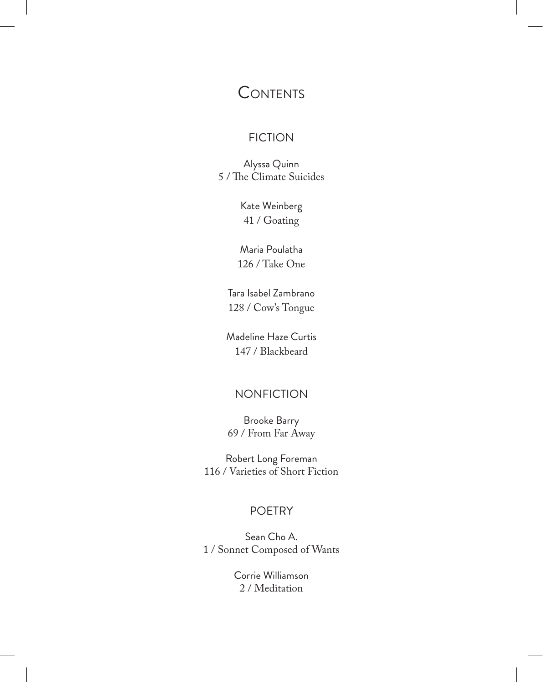# **CONTENTS**

# FICTION

Alyssa Quinn 5 / The Climate Suicides

> Kate Weinberg 41 / Goating

Maria Poulatha 126 / Take One

Tara Isabel Zambrano 128 / Cow's Tongue

Madeline Haze Curtis 147 / Blackbeard

## NONFICTION

Brooke Barry 69 / From Far Away

Robert Long Foreman 116 / Varieties of Short Fiction

### POETRY

Sean Cho A. 1 / Sonnet Composed of Wants

> Corrie Williamson 2 / Meditation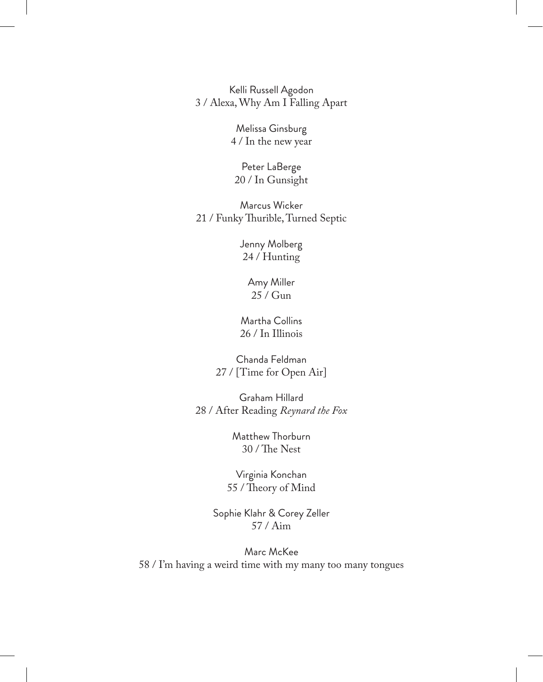Kelli Russell Agodon 3 / Alexa, Why Am I Falling Apart

> Melissa Ginsburg 4 / In the new year

Peter LaBerge 20 / In Gunsight

Marcus Wicker 21 / Funky Thurible, Turned Septic

> Jenny Molberg 24 / Hunting

> > Amy Miller 25 / Gun

Martha Collins 26 / In Illinois

Chanda Feldman 27 / [Time for Open Air]

Graham Hillard 28 / After Reading *Reynard the Fox*

> Matthew Thorburn 30 / The Nest

Virginia Konchan 55 / Theory of Mind

Sophie Klahr & Corey Zeller 57 / Aim

Marc McKee 58 / I'm having a weird time with my many too many tongues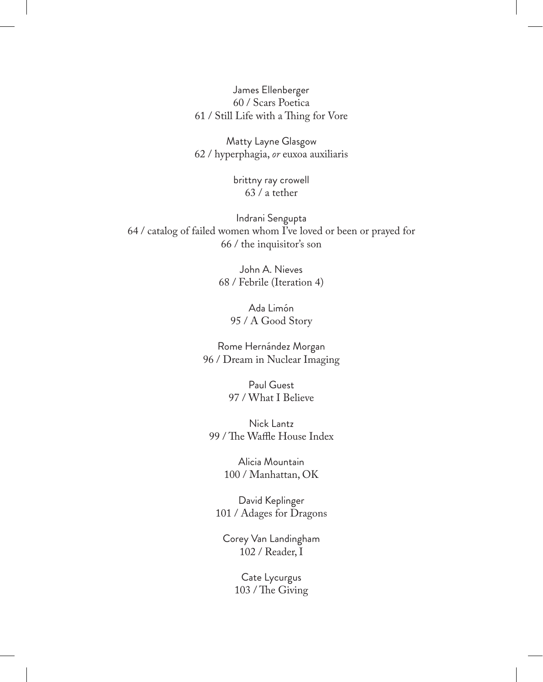James Ellenberger 60 / Scars Poetica 61 / Still Life with a Thing for Vore

Matty Layne Glasgow 62 / hyperphagia, *or* euxoa auxiliaris

> brittny ray crowell 63 / a tether

Indrani Sengupta 64 / catalog of failed women whom I've loved or been or prayed for 66 / the inquisitor's son

> John A. Nieves 68 / Febrile (Iteration 4)

> > Ada Limón 95 / A Good Story

Rome Hernández Morgan 96 / Dream in Nuclear Imaging

> Paul Guest 97 / What I Believe

Nick Lantz 99 / The Waffle House Index

> Alicia Mountain 100 / Manhattan, OK

David Keplinger 101 / Adages for Dragons

Corey Van Landingham 102 / Reader, I

> Cate Lycurgus 103 / The Giving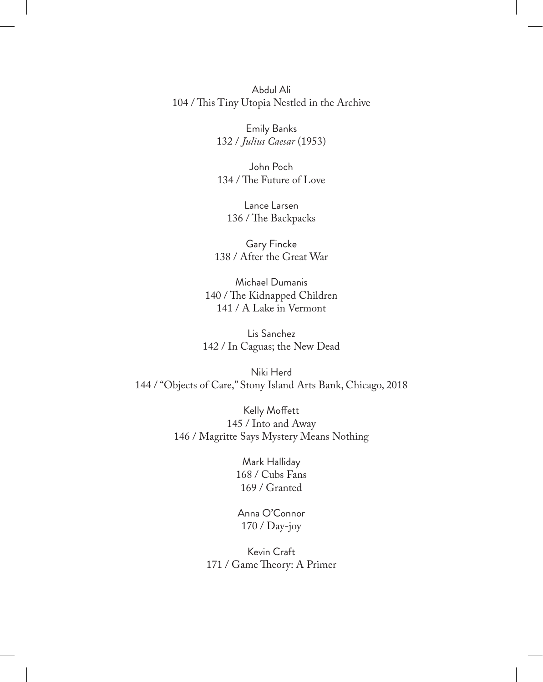Abdul Ali 104 / This Tiny Utopia Nestled in the Archive

> Emily Banks 132 / *Julius Caesar* (1953)

> John Poch 134 / The Future of Love

Lance Larsen 136 / The Backpacks

Gary Fincke 138 / After the Great War

Michael Dumanis 140 / The Kidnapped Children 141 / A Lake in Vermont

Lis Sanchez 142 / In Caguas; the New Dead

Niki Herd 144 / "Objects of Care," Stony Island Arts Bank, Chicago, 2018

> Kelly Moffett 145 / Into and Away 146 / Magritte Says Mystery Means Nothing

> > Mark Halliday 168 / Cubs Fans 169 / Granted

Anna O'Connor 170 / Day-joy

Kevin Craft 171 / Game Theory: A Primer